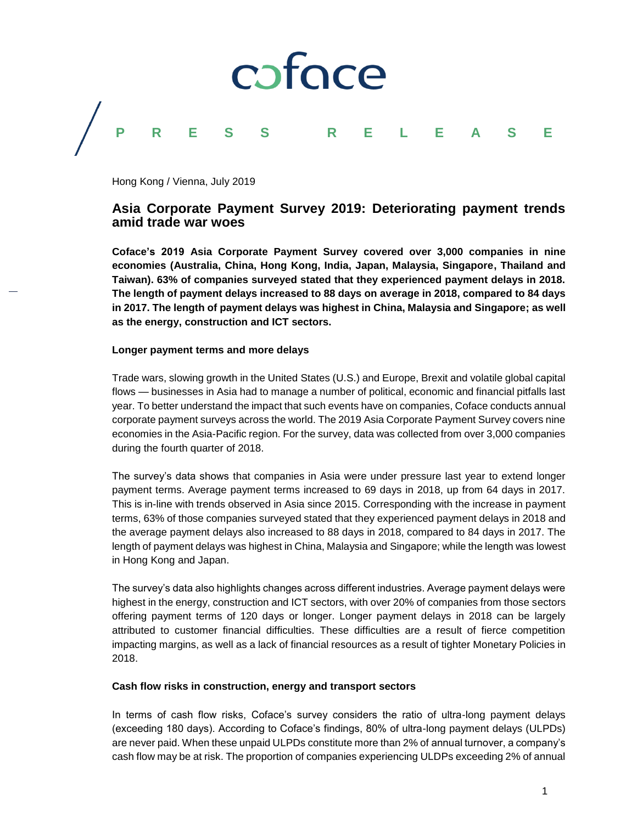

Hong Kong / Vienna, July 2019

# **Asia Corporate Payment Survey 2019: Deteriorating payment trends amid trade war woes**

**Coface's 2019 Asia Corporate Payment Survey covered over 3,000 companies in nine economies (Australia, China, Hong Kong, India, Japan, Malaysia, Singapore, Thailand and Taiwan). 63% of companies surveyed stated that they experienced payment delays in 2018. The length of payment delays increased to 88 days on average in 2018, compared to 84 days in 2017. The length of payment delays was highest in China, Malaysia and Singapore; as well as the energy, construction and ICT sectors.**

### **Longer payment terms and more delays**

Trade wars, slowing growth in the United States (U.S.) and Europe, Brexit and volatile global capital flows — businesses in Asia had to manage a number of political, economic and financial pitfalls last year. To better understand the impact that such events have on companies, Coface conducts annual corporate payment surveys across the world. The 2019 Asia Corporate Payment Survey covers nine economies in the Asia-Pacific region. For the survey, data was collected from over 3,000 companies during the fourth quarter of 2018.

The survey's data shows that companies in Asia were under pressure last year to extend longer payment terms. Average payment terms increased to 69 days in 2018, up from 64 days in 2017. This is in-line with trends observed in Asia since 2015. Corresponding with the increase in payment terms, 63% of those companies surveyed stated that they experienced payment delays in 2018 and the average payment delays also increased to 88 days in 2018, compared to 84 days in 2017. The length of payment delays was highest in China, Malaysia and Singapore; while the length was lowest in Hong Kong and Japan.

The survey's data also highlights changes across different industries. Average payment delays were highest in the energy, construction and ICT sectors, with over 20% of companies from those sectors offering payment terms of 120 days or longer. Longer payment delays in 2018 can be largely attributed to customer financial difficulties. These difficulties are a result of fierce competition impacting margins, as well as a lack of financial resources as a result of tighter Monetary Policies in 2018.

## **Cash flow risks in construction, energy and transport sectors**

In terms of cash flow risks, Coface's survey considers the ratio of ultra-long payment delays (exceeding 180 days). According to Coface's findings, 80% of ultra-long payment delays (ULPDs) are never paid. When these unpaid ULPDs constitute more than 2% of annual turnover, a company's cash flow may be at risk. The proportion of companies experiencing ULDPs exceeding 2% of annual